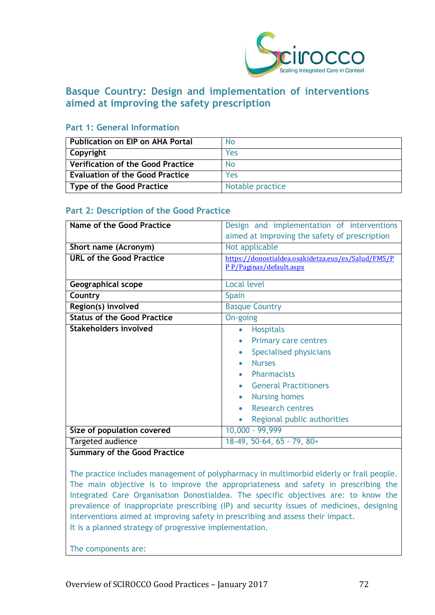

# **Basque Country: Design and implementation of interventions aimed at improving the safety prescription**

## **Part 1: General Information**

| l Publication on EIP on AHA Portal       | <b>No</b>        |
|------------------------------------------|------------------|
| Copyright                                | Yes              |
| $\mid$ Verification of the Good Practice | <b>No</b>        |
| Evaluation of the Good Practice          | Yes              |
| Type of the Good Practice                | Notable practice |

# **Part 2: Description of the Good Practice**

| Name of the Good Practice          | Design and implementation of interventions         |
|------------------------------------|----------------------------------------------------|
|                                    | aimed at improving the safety of prescription      |
| Short name (Acronym)               | Not applicable                                     |
| <b>URL of the Good Practice</b>    | https://donostialdea.osakidetza.eus/es/Salud/FMS/P |
|                                    | P P/Paginas/default.aspx                           |
| <b>Geographical scope</b>          | Local level                                        |
| Country                            | <b>Spain</b>                                       |
| Region(s) involved                 | <b>Basque Country</b>                              |
| <b>Status of the Good Practice</b> | On-going                                           |
| <b>Stakeholders involved</b>       | <b>Hospitals</b><br>$\bullet$                      |
|                                    | <b>Primary care centres</b><br>$\bullet$           |
|                                    | Specialised physicians                             |
|                                    | <b>Nurses</b>                                      |
|                                    | <b>Pharmacists</b>                                 |
|                                    | <b>General Practitioners</b>                       |
|                                    | <b>Nursing homes</b><br>$\bullet$                  |
|                                    | <b>Research centres</b>                            |
|                                    | Regional public authorities                        |
| Size of population covered         | 10,000 - 99,999                                    |
| Targeted audience                  | $18-49, 50-64, 65 - 79, 80+$                       |

# **Summary of the Good Practice**

The practice includes management of polypharmacy in multimorbid elderly or frail people. The main objective is to improve the appropriateness and safety in prescribing the Integrated Care Organisation Donostialdea. The specific objectives are: to know the prevalence of inappropriate prescribing (IP) and security issues of medicines, designing interventions aimed at improving safety in prescribing and assess their impact. It is a planned strategy of progressive implementation.

The components are: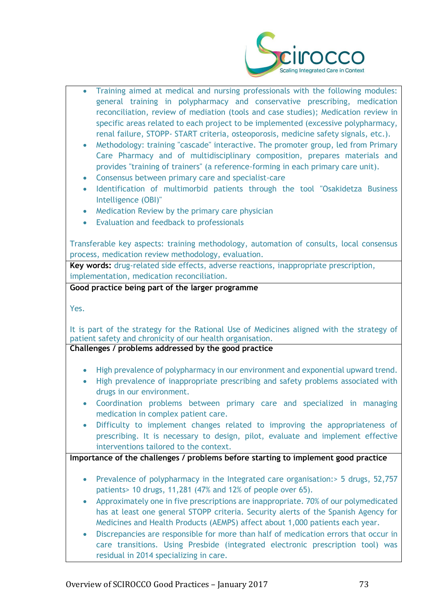

| $\bullet$<br>$\bullet$<br>$\bullet$<br>$\bullet$<br>$\bullet$ | Training aimed at medical and nursing professionals with the following modules:<br>general training in polypharmacy and conservative prescribing, medication<br>reconciliation, review of mediation (tools and case studies); Medication review in<br>specific areas related to each project to be implemented (excessive polypharmacy,<br>renal failure, STOPP- START criteria, osteoporosis, medicine safety signals, etc.).<br>Methodology: training "cascade" interactive. The promoter group, led from Primary<br>Care Pharmacy and of multidisciplinary composition, prepares materials and<br>provides "training of trainers" (a reference-forming in each primary care unit).<br>Consensus between primary care and specialist-care<br>Identification of multimorbid patients through the tool "Osakidetza Business<br>Intelligence (OBI)"<br>Medication Review by the primary care physician<br>Evaluation and feedback to professionals |
|---------------------------------------------------------------|---------------------------------------------------------------------------------------------------------------------------------------------------------------------------------------------------------------------------------------------------------------------------------------------------------------------------------------------------------------------------------------------------------------------------------------------------------------------------------------------------------------------------------------------------------------------------------------------------------------------------------------------------------------------------------------------------------------------------------------------------------------------------------------------------------------------------------------------------------------------------------------------------------------------------------------------------|
|                                                               |                                                                                                                                                                                                                                                                                                                                                                                                                                                                                                                                                                                                                                                                                                                                                                                                                                                                                                                                                   |
|                                                               | Transferable key aspects: training methodology, automation of consults, local consensus                                                                                                                                                                                                                                                                                                                                                                                                                                                                                                                                                                                                                                                                                                                                                                                                                                                           |
|                                                               | process, medication review methodology, evaluation.                                                                                                                                                                                                                                                                                                                                                                                                                                                                                                                                                                                                                                                                                                                                                                                                                                                                                               |
|                                                               | Key words: drug-related side effects, adverse reactions, inappropriate prescription,                                                                                                                                                                                                                                                                                                                                                                                                                                                                                                                                                                                                                                                                                                                                                                                                                                                              |
|                                                               | implementation, medication reconciliation.<br>Good practice being part of the larger programme                                                                                                                                                                                                                                                                                                                                                                                                                                                                                                                                                                                                                                                                                                                                                                                                                                                    |
|                                                               |                                                                                                                                                                                                                                                                                                                                                                                                                                                                                                                                                                                                                                                                                                                                                                                                                                                                                                                                                   |
| Yes.                                                          |                                                                                                                                                                                                                                                                                                                                                                                                                                                                                                                                                                                                                                                                                                                                                                                                                                                                                                                                                   |
|                                                               | It is part of the strategy for the Rational Use of Medicines aligned with the strategy of<br>patient safety and chronicity of our health organisation.<br>Challenges / problems addressed by the good practice                                                                                                                                                                                                                                                                                                                                                                                                                                                                                                                                                                                                                                                                                                                                    |
|                                                               |                                                                                                                                                                                                                                                                                                                                                                                                                                                                                                                                                                                                                                                                                                                                                                                                                                                                                                                                                   |
| $\bullet$                                                     | High prevalence of polypharmacy in our environment and exponential upward trend.                                                                                                                                                                                                                                                                                                                                                                                                                                                                                                                                                                                                                                                                                                                                                                                                                                                                  |
| $\bullet$                                                     | High prevalence of inappropriate prescribing and safety problems associated with                                                                                                                                                                                                                                                                                                                                                                                                                                                                                                                                                                                                                                                                                                                                                                                                                                                                  |
|                                                               | drugs in our environment.                                                                                                                                                                                                                                                                                                                                                                                                                                                                                                                                                                                                                                                                                                                                                                                                                                                                                                                         |
| $\bullet$                                                     | Coordination problems between primary care and specialized in managing<br>medication in complex patient care.                                                                                                                                                                                                                                                                                                                                                                                                                                                                                                                                                                                                                                                                                                                                                                                                                                     |
|                                                               | Difficulty to implement changes related to improving the appropriateness of                                                                                                                                                                                                                                                                                                                                                                                                                                                                                                                                                                                                                                                                                                                                                                                                                                                                       |
|                                                               | prescribing. It is necessary to design, pilot, evaluate and implement effective<br>interventions tailored to the context.                                                                                                                                                                                                                                                                                                                                                                                                                                                                                                                                                                                                                                                                                                                                                                                                                         |
|                                                               | Importance of the challenges / problems before starting to implement good practice                                                                                                                                                                                                                                                                                                                                                                                                                                                                                                                                                                                                                                                                                                                                                                                                                                                                |
|                                                               |                                                                                                                                                                                                                                                                                                                                                                                                                                                                                                                                                                                                                                                                                                                                                                                                                                                                                                                                                   |
| $\bullet$                                                     | Prevalence of polypharmacy in the Integrated care organisation: > 5 drugs, 52,757                                                                                                                                                                                                                                                                                                                                                                                                                                                                                                                                                                                                                                                                                                                                                                                                                                                                 |
|                                                               | patients> 10 drugs, 11,281 (47% and 12% of people over 65).                                                                                                                                                                                                                                                                                                                                                                                                                                                                                                                                                                                                                                                                                                                                                                                                                                                                                       |
|                                                               | Approximately one in five prescriptions are inappropriate. 70% of our polymedicated                                                                                                                                                                                                                                                                                                                                                                                                                                                                                                                                                                                                                                                                                                                                                                                                                                                               |
|                                                               | has at least one general STOPP criteria. Security alerts of the Spanish Agency for                                                                                                                                                                                                                                                                                                                                                                                                                                                                                                                                                                                                                                                                                                                                                                                                                                                                |
|                                                               | Medicines and Health Products (AEMPS) affect about 1,000 patients each year.                                                                                                                                                                                                                                                                                                                                                                                                                                                                                                                                                                                                                                                                                                                                                                                                                                                                      |
| $\bullet$                                                     | Discrepancies are responsible for more than half of medication errors that occur in                                                                                                                                                                                                                                                                                                                                                                                                                                                                                                                                                                                                                                                                                                                                                                                                                                                               |
|                                                               | care transitions. Using Presbide (integrated electronic prescription tool) was                                                                                                                                                                                                                                                                                                                                                                                                                                                                                                                                                                                                                                                                                                                                                                                                                                                                    |
|                                                               | residual in 2014 specializing in care.                                                                                                                                                                                                                                                                                                                                                                                                                                                                                                                                                                                                                                                                                                                                                                                                                                                                                                            |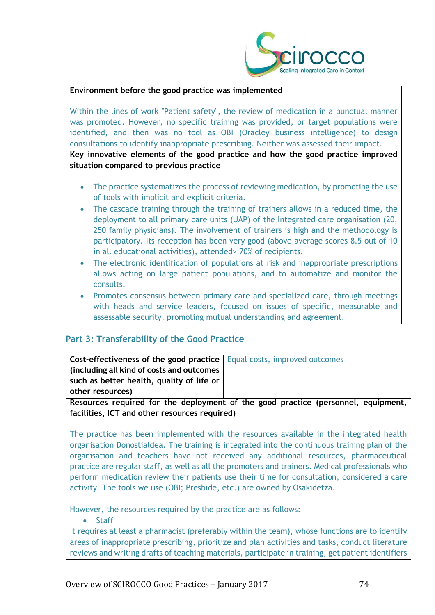

### **Environment before the good practice was implemented**

Within the lines of work "Patient safety", the review of medication in a punctual manner was promoted. However, no specific training was provided, or target populations were identified, and then was no tool as OBI (Oracley business intelligence) to design consultations to identify inappropriate prescribing. Neither was assessed their impact.

**Key innovative elements of the good practice and how the good practice improved situation compared to previous practice**

- The practice systematizes the process of reviewing medication, by promoting the use of tools with implicit and explicit criteria.
- The cascade training through the training of trainers allows in a reduced time, the deployment to all primary care units (UAP) of the Integrated care organisation (20, 250 family physicians). The involvement of trainers is high and the methodology is participatory. Its reception has been very good (above average scores 8.5 out of 10 in all educational activities), attended> 70% of recipients.
- The electronic identification of populations at risk and inappropriate prescriptions allows acting on large patient populations, and to automatize and monitor the consults.
- Promotes consensus between primary care and specialized care, through meetings with heads and service leaders, focused on issues of specific, measurable and assessable security, promoting mutual understanding and agreement.

# **Part 3: Transferability of the Good Practice**

| <b>Cost-effectiveness of the good practice</b>   Equal costs, improved outcomes |                                                                                 |
|---------------------------------------------------------------------------------|---------------------------------------------------------------------------------|
| (including all kind of costs and outcomes)                                      |                                                                                 |
| such as better health, quality of life or                                       |                                                                                 |
| other resources)                                                                |                                                                                 |
|                                                                                 | Becourage required for the deployment of the good practice (percepsed equipment |

**Resources required for the deployment of the good practice (personnel, equipment, facilities, ICT and other resources required)**

The practice has been implemented with the resources available in the integrated health organisation Donostialdea. The training is integrated into the continuous training plan of the organisation and teachers have not received any additional resources, pharmaceutical practice are regular staff, as well as all the promoters and trainers. Medical professionals who perform medication review their patients use their time for consultation, considered a care activity. The tools we use (OBI; Presbide, etc.) are owned by Osakidetza.

However, the resources required by the practice are as follows:

• Staff

It requires at least a pharmacist (preferably within the team), whose functions are to identify areas of inappropriate prescribing, prioritize and plan activities and tasks, conduct literature reviews and writing drafts of teaching materials, participate in training, get patient identifiers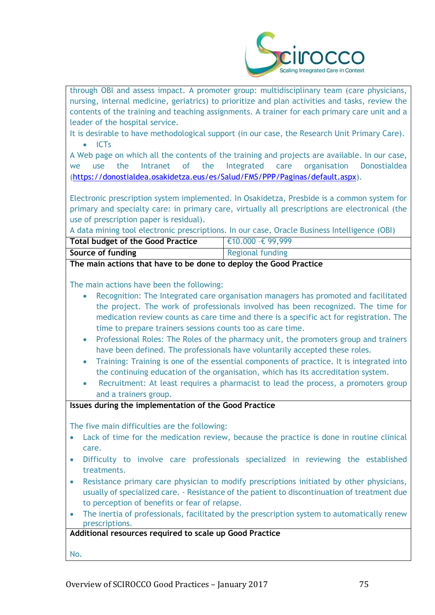

through OBI and assess impact. A promoter group: multidisciplinary team (care physicians, nursing, internal medicine, geriatrics) to prioritize and plan activities and tasks, review the contents of the training and teaching assignments. A trainer for each primary care unit and a leader of the hospital service.

It is desirable to have methodological support (in our case, the Research Unit Primary Care). • ICTs

A Web page on which all the contents of the training and projects are available. In our case, we use the Intranet of the Integrated care organisation Donostialdea [\(https://donostialdea.osakidetza.eus/es/Salud/FMS/PPP/Paginas/default.aspx\)](https://donostialdea.osakidetza.eus/es/Salud/FMS/PPP/Paginas/default.aspx).

Electronic prescription system implemented. In Osakidetza, Presbide is a common system for primary and specialty care: in primary care, virtually all prescriptions are electronical (the use of prescription paper is residual).

A data mining tool electronic prescriptions. In our case, Oracle Business Intelligence (OBI)

| <b>Total budget of the Good Practice</b> | $\in$ 10.000 - € 99,999 |
|------------------------------------------|-------------------------|
| Source of funding                        | <b>Regional funding</b> |

**The main actions that have to be done to deploy the Good Practice**

The main actions have been the following:

- Recognition: The Integrated care organisation managers has promoted and facilitated the project. The work of professionals involved has been recognized. The time for medication review counts as care time and there is a specific act for registration. The time to prepare trainers sessions counts too as care time.
- Professional Roles: The Roles of the pharmacy unit, the promoters group and trainers have been defined. The professionals have voluntarily accepted these roles.
- Training: Training is one of the essential components of practice. It is integrated into the continuing education of the organisation, which has its accreditation system.
- Recruitment: At least requires a pharmacist to lead the process, a promoters group and a trainers group.

## **Issues during the implementation of the Good Practice**

The five main difficulties are the following:

- Lack of time for the medication review, because the practice is done in routine clinical care.
- Difficulty to involve care professionals specialized in reviewing the established treatments.
- Resistance primary care physician to modify prescriptions initiated by other physicians, usually of specialized care. - Resistance of the patient to discontinuation of treatment due to perception of benefits or fear of relapse.
- The inertia of professionals, facilitated by the prescription system to automatically renew prescriptions.

**Additional resources required to scale up Good Practice**

No.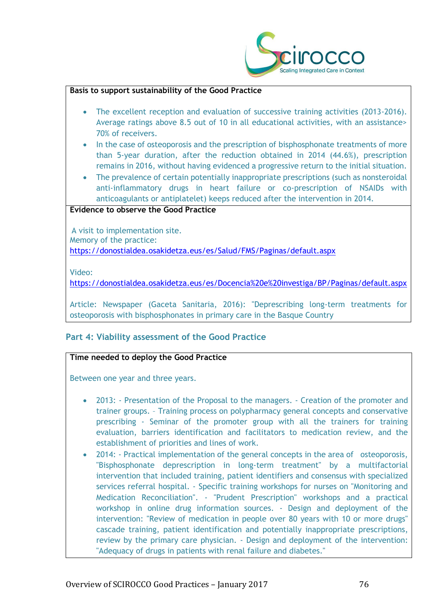

#### **Basis to support sustainability of the Good Practice**

- The excellent reception and evaluation of successive training activities (2013-2016). Average ratings above 8.5 out of 10 in all educational activities, with an assistance> 70% of receivers.
- In the case of osteoporosis and the prescription of bisphosphonate treatments of more than 5-year duration, after the reduction obtained in 2014 (44.6%), prescription remains in 2016, without having evidenced a progressive return to the initial situation.
- The prevalence of certain potentially inappropriate prescriptions (such as nonsteroidal anti-inflammatory drugs in heart failure or co-prescription of NSAIDs with anticoagulants or antiplatelet) keeps reduced after the intervention in 2014.

#### **Evidence to observe the Good Practice**

A visit to implementation site. Memory of the practice: <https://donostialdea.osakidetza.eus/es/Salud/FMS/Paginas/default.aspx>

Video:

<https://donostialdea.osakidetza.eus/es/Docencia%20e%20investiga/BP/Paginas/default.aspx>

Article: Newspaper (Gaceta Sanitaria, 2016): "Deprescribing long-term treatments for osteoporosis with bisphosphonates in primary care in the Basque Country

# **Part 4: Viability assessment of the Good Practice**

# **Time needed to deploy the Good Practice**

Between one year and three years.

- 2013: Presentation of the Proposal to the managers. Creation of the promoter and trainer groups. – Training process on polypharmacy general concepts and conservative prescribing - Seminar of the promoter group with all the trainers for training evaluation, barriers identification and facilitators to medication review, and the establishment of priorities and lines of work.
- 2014: Practical implementation of the general concepts in the area of osteoporosis, "Bisphosphonate deprescription in long-term treatment" by a multifactorial intervention that included training, patient identifiers and consensus with specialized services referral hospital. - Specific training workshops for nurses on "Monitoring and Medication Reconciliation". - "Prudent Prescription" workshops and a practical workshop in online drug information sources. - Design and deployment of the intervention: "Review of medication in people over 80 years with 10 or more drugs" cascade training, patient identification and potentially inappropriate prescriptions, review by the primary care physician. - Design and deployment of the intervention: "Adequacy of drugs in patients with renal failure and diabetes."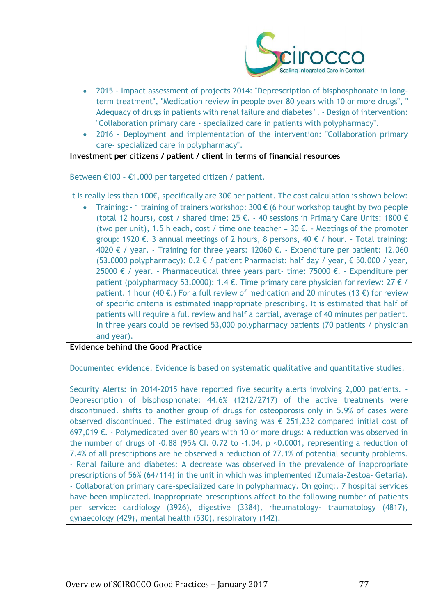

- 2015 Impact assessment of projects 2014: "Deprescription of bisphosphonate in longterm treatment", "Medication review in people over 80 years with 10 or more drugs", " Adequacy of drugs in patients with renal failure and diabetes ". - Design of intervention: "Collaboration primary care - specialized care in patients with polypharmacy".
- 2016 Deployment and implementation of the intervention: "Collaboration primary care- specialized care in polypharmacy".

**Investment per citizens / patient / client in terms of financial resources**

Between €100 – €1.000 per targeted citizen / patient.

It is really less than 100€, specifically are 30€ per patient. The cost calculation is shown below:

Training: - 1 training of trainers workshop: 300  $\epsilon$  (6 hour workshop taught by two people (total 12 hours), cost / shared time:  $25 \text{ } \epsilon$ . - 40 sessions in Primary Care Units: 1800  $\epsilon$ (two per unit), 1.5 h each, cost / time one teacher =  $30 \text{ } \epsilon$ . - Meetings of the promoter group: 1920 €. 3 annual meetings of 2 hours, 8 persons, 40 € / hour. - Total training: 4020 € / year. - Training for three years: 12060 €. - Expenditure per patient: 12.060 (53.0000 polypharmacy):  $0.2 \notin \ell$  patient Pharmacist: half day / year,  $\epsilon$  50,000 / year, 25000 € / year. - Pharmaceutical three years part- time: 75000 €. - Expenditure per patient (polypharmacy 53.0000): 1.4  $\epsilon$ . Time primary care physician for review: 27  $\epsilon$  / patient. 1 hour (40 €.) For a full review of medication and 20 minutes (13 €) for review of specific criteria is estimated inappropriate prescribing. It is estimated that half of patients will require a full review and half a partial, average of 40 minutes per patient. In three years could be revised 53,000 polypharmacy patients (70 patients / physician and year).

**Evidence behind the Good Practice**

Documented evidence. Evidence is based on systematic qualitative and quantitative studies.

Security Alerts: in 2014-2015 have reported five security alerts involving 2,000 patients. - Deprescription of bisphosphonate: 44.6% (1212/2717) of the active treatments were discontinued. shifts to another group of drugs for osteoporosis only in 5.9% of cases were observed discontinued. The estimated drug saving was  $\epsilon$  251,232 compared initial cost of 697,019  $€.$  - Polymedicated over 80 years with 10 or more drugs: A reduction was observed in the number of drugs of  $-0.88$  (95% CI. 0.72 to  $-1.04$ , p $\leq 0.0001$ , representing a reduction of 7.4% of all prescriptions are he observed a reduction of 27.1% of potential security problems. - Renal failure and diabetes: A decrease was observed in the prevalence of inappropriate prescriptions of 56% (64/114) in the unit in which was implemented (Zumaia-Zestoa- Getaria). - Collaboration primary care-specialized care in polypharmacy. On going:. 7 hospital services have been implicated. Inappropriate prescriptions affect to the following number of patients per service: cardiology (3926), digestive (3384), rheumatology- traumatology (4817), gynaecology (429), mental health (530), respiratory (142).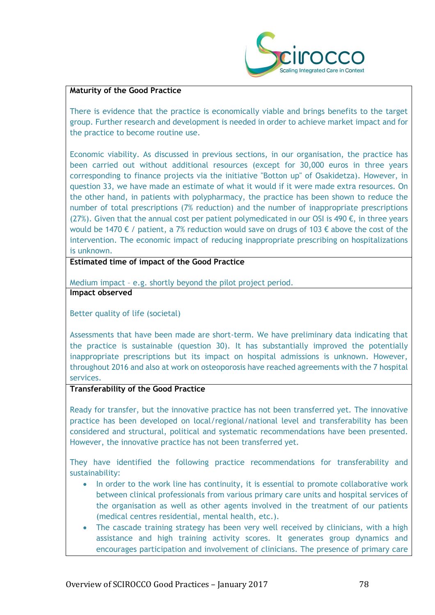

#### **Maturity of the Good Practice**

There is evidence that the practice is economically viable and brings benefits to the target group. Further research and development is needed in order to achieve market impact and for the practice to become routine use.

Economic viability. As discussed in previous sections, in our organisation, the practice has been carried out without additional resources (except for 30,000 euros in three years corresponding to finance projects via the initiative "Botton up" of Osakidetza). However, in question 33, we have made an estimate of what it would if it were made extra resources. On the other hand, in patients with polypharmacy, the practice has been shown to reduce the number of total prescriptions (7% reduction) and the number of inappropriate prescriptions (27%). Given that the annual cost per patient polymedicated in our OSI is 490  $\epsilon$ , in three years would be 1470  $\epsilon$  / patient, a 7% reduction would save on drugs of 103  $\epsilon$  above the cost of the intervention. The economic impact of reducing inappropriate prescribing on hospitalizations is unknown.

**Estimated time of impact of the Good Practice**

Medium impact – e.g. shortly beyond the pilot project period. **Impact observed**

Better quality of life (societal)

Assessments that have been made are short-term. We have preliminary data indicating that the practice is sustainable (question 30). It has substantially improved the potentially inappropriate prescriptions but its impact on hospital admissions is unknown. However, throughout 2016 and also at work on osteoporosis have reached agreements with the 7 hospital services.

#### **Transferability of the Good Practice**

Ready for transfer, but the innovative practice has not been transferred yet. The innovative practice has been developed on local/regional/national level and transferability has been considered and structural, political and systematic recommendations have been presented. However, the innovative practice has not been transferred yet.

They have identified the following practice recommendations for transferability and sustainability:

- In order to the work line has continuity, it is essential to promote collaborative work between clinical professionals from various primary care units and hospital services of the organisation as well as other agents involved in the treatment of our patients (medical centres residential, mental health, etc.).
- The cascade training strategy has been very well received by clinicians, with a high assistance and high training activity scores. It generates group dynamics and encourages participation and involvement of clinicians. The presence of primary care